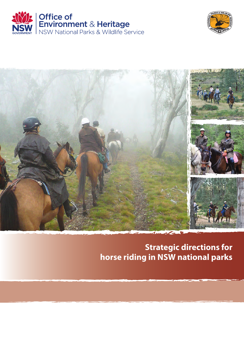





# **Strategic directions for horse riding in NSW national parks**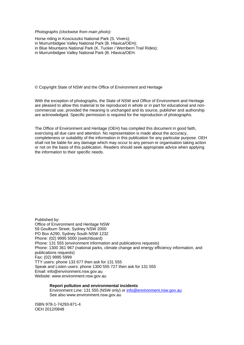*Photographs (clockwise from main photo):* 

Horse riding in Kosciuszko National Park (S. Vivers); in Murrumbidgee Valley National Park (B. Hlavica/OEH); in Blue Mountains National Park (K. Tucker / Werriberri Trail Rides); in Murrumbidgee Valley National Park (B. Hlavica/OEH.

© Copyright State of NSW and the Office of Environment and Heritage

With the exception of photographs, the State of NSW and Office of Environment and Heritage are pleased to allow this material to be reproduced in whole or in part for educational and noncommercial use, provided the meaning is unchanged and its source, publisher and authorship are acknowledged. Specific permission is required for the reproduction of photographs.

The Office of Environment and Heritage (OEH) has compiled this document in good faith, exercising all due care and attention. No representation is made about the accuracy, completeness or suitability of the information in this publication for any particular purpose. OEH shall not be liable for any damage which may occur to any person or organisation taking action or not on the basis of this publication. Readers should seek appropriate advice when applying the information to their specific needs.

Published by: Office of Environment and Heritage NSW 59 Goulburn Street, Sydney NSW 2000 PO Box A290, Sydney South NSW 1232 Phone: (02) 9995 5000 (switchboard) Phone: 131 555 (environment information and publications requests) Phone: 1300 361 967 (national parks, climate change and energy efficiency information, and publications requests) Fax: (02) 9995 5999 TTY users: phone 133 677 then ask for 131 555 Speak and Listen users: phone 1300 555 727 then ask for 131 555 Email: info@environment.nsw.gov.au Website: www.environment.nsw.gov.au

**Report pollution and environmental incidents**  Environment Line: 131 555 (NSW only) or info@environment.nsw.gov.au See also www.environment.nsw.gov.au

ISBN 978-1-74293-871-4 OEH 2012/0848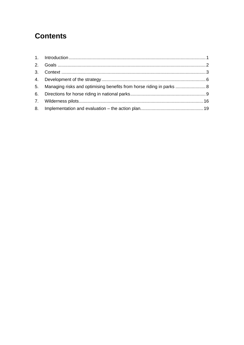# **Contents**

| 5. Managing risks and optimising benefits from horse riding in parks  8 |  |
|-------------------------------------------------------------------------|--|
|                                                                         |  |
|                                                                         |  |
|                                                                         |  |
|                                                                         |  |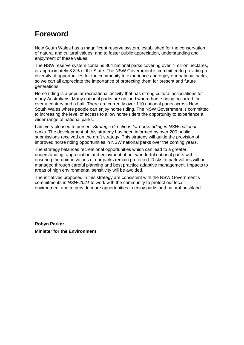# 1B**Foreword**

New South Wales has a magnificent reserve system, established for the conservation of natural and cultural values, and to foster public appreciation, understanding and enjoyment of these values.

The NSW reserve system contains 864 national parks covering over 7 million hectares, or approximately 8.8% of the State. The NSW Government is committed to providing a diversity of opportunities for the community to experience and enjoy our national parks, so we can all appreciate the importance of protecting them for present and future generations.

Horse riding is a popular recreational activity that has strong cultural associations for many Australians. Many national parks are on land where horse riding occurred for over a century and a half. There are currently over 110 national parks across New South Wales where people can enjoy horse riding. The NSW Government is committed to increasing the level of access to allow horse riders the opportunity to experience a wider range of national parks.

I am very pleased to present *Strategic directions for horse riding in NSW national parks*. The development of this strategy has been informed by over 200 public submissions received on the draft strategy. This strategy will guide the provision of improved horse riding opportunities in NSW national parks over the coming years.

The strategy balances recreational opportunities which can lead to a greater understanding, appreciation and enjoyment of our wonderful national parks with ensuring the unique values of our parks remain protected. Risks to park values will be managed through careful planning and best practice adaptive management. Impacts to areas of high environmental sensitivity will be avoided.

The initiatives proposed in this strategy are consistent with the NSW Government's commitments in *NSW 2021* to work with the community to protect our local environment and to provide more opportunities to enjoy parks and natural bushland.

**Robyn Parker Minister for the Environment**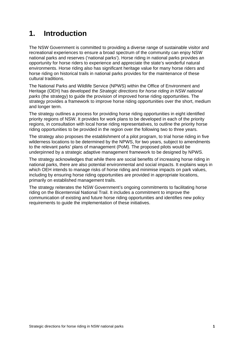# 1. Introduction

The NSW Government is committed to providing a diverse range of sustainable visitor and recreational experiences to ensure a broad spectrum of the community can enjoy NSW national parks and reserves ('national parks'). Horse riding in national parks provides an opportunity for horse riders to experience and appreciate the state's wonderful natural environments. Horse riding also has significant heritage value for many horse riders and horse riding on historical trails in national parks provides for the maintenance of these cultural traditions.

The National Parks and Wildlife Service (NPWS) within the Office of Environment and Heritage (OEH) has developed the *Strategic directions for horse riding in NSW national parks* (the strategy) to guide the provision of improved horse riding opportunities. The strategy provides a framework to improve horse riding opportunities over the short, medium and longer term.

The strategy outlines a process for providing horse riding opportunities in eight identified priority regions of NSW. It provides for work plans to be developed in each of the priority regions, in consultation with local horse riding representatives, to outline the priority horse riding opportunities to be provided in the region over the following two to three years.

The strategy also proposes the establishment of a pilot program, to trial horse riding in five wilderness locations to be determined by the NPWS, for two years, subject to amendments to the relevant parks' plans of management (PoM). The proposed pilots would be underpinned by a strategic adaptive management framework to be designed by NPWS.

The strategy acknowledges that while there are social benefits of increasing horse riding in national parks, there are also potential environmental and social impacts. It explains ways in which OEH intends to manage risks of horse riding and minimise impacts on park values, including by ensuring horse riding opportunities are provided in appropriate locations, primarily on established management trails.

The strategy reiterates the NSW Government's ongoing commitments to facilitating horse riding on the Bicentennial National Trail. It includes a commitment to improve the communication of existing and future horse riding opportunities and identifies new policy requirements to guide the implementation of these initiatives.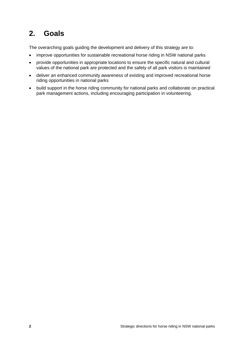# 3B**2. Goals**

The overarching goals guiding the development and delivery of this strategy are to:

- improve opportunities for sustainable recreational horse riding in NSW national parks
- provide opportunities in appropriate locations to ensure the specific natural and cultural values of the national park are protected and the safety of all park visitors is maintained
- deliver an enhanced community awareness of existing and improved recreational horse riding opportunities in national parks
- build support in the horse riding community for national parks and collaborate on practical park management actions, including encouraging participation in volunteering.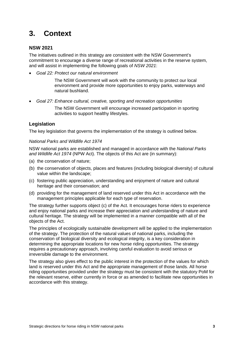# 4B**3. Context**

### 12B**NSW 2021**

The initiatives outlined in this strategy are consistent with the NSW Government's commitment to encourage a diverse range of recreational activities in the reserve system, and will assist in implementing the following goals of *NSW 2021*:

*Goal 22: Protect our natural environment* 

The NSW Government will work with the community to protect our local environment and provide more opportunities to enjoy parks, waterways and natural bushland.

*Goal 27: Enhance cultural, creative, sporting and recreation opportunities* 

The NSW Government will encourage increased participation in sporting activities to support healthy lifestyles.

### **Legislation**

The key legislation that governs the implementation of the strategy is outlined below.

#### 28B*National Parks and Wildlife Act 1974*

NSW national parks are established and managed in accordance with the *National Parks and Wildlife Act 1974* (NPW Act). The objects of this Act are (in summary):

- (a) the conservation of nature;
- (b) the conservation of objects, places and features (including biological diversity) of cultural value within the landscape;
- (c) fostering public appreciation, understanding and enjoyment of nature and cultural heritage and their conservation; and
- (d) providing for the management of land reserved under this Act in accordance with the management principles applicable for each type of reservation.

The strategy further supports object (c) of the Act. It encourages horse riders to experience and enjoy national parks and increase their appreciation and understanding of nature and cultural heritage. The strategy will be implemented in a manner compatible with all of the objects of the Act.

The principles of ecologically sustainable development will be applied to the implementation of the strategy. The protection of the natural values of national parks, including the conservation of biological diversity and ecological integrity, is a key consideration in determining the appropriate locations for new horse riding opportunities. The strategy requires a precautionary approach, involving careful evaluation to avoid serious or irreversible damage to the environment.

The strategy also gives effect to the public interest in the protection of the values for which land is reserved under this Act and the appropriate management of those lands. All horse riding opportunities provided under the strategy must be consistent with the statutory PoM for the relevant reserve, either currently in force or as amended to facilitate new opportunities in accordance with this strategy.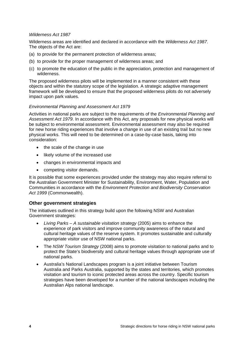#### 29B*Wilderness Act 1987*

Wilderness areas are identified and declared in accordance with the *Wilderness Act 1987*. The objects of the Act are:

- (a) to provide for the permanent protection of wilderness areas;
- (b) to provide for the proper management of wilderness areas; and
- (c) to promote the education of the public in the appreciation, protection and management of wilderness.

The proposed wilderness pilots will be implemented in a manner consistent with these objects and within the statutory scope of the legislation. A strategic adaptive management framework will be developed to ensure that the proposed wilderness pilots do not adversely impact upon park values.

#### 30B*Environmental Planning and Assessment Act 1979*

Activities in national parks are subject to the requirements of the *Environmental Planning and Assessment Act 1979*. In accordance with this Act, any proposals for new physical works will be subject to environmental assessment. Environmental assessment may also be required for new horse riding experiences that involve a change in use of an existing trail but no new physical works. This will need to be determined on a case-by-case basis, taking into consideration:

- the scale of the change in use
- likely volume of the increased use
- changes in environmental impacts and
- competing visitor demands.

It is possible that some experiences provided under the strategy may also require referral to the Australian Government Minister for Sustainability, Environment, Water, Population and Communities in accordance with the *Environment Protection and Biodiversity Conservation Act 1999* (Commonwealth).

#### **Other government strategies**

The initiatives outlined in this strategy build upon the following NSW and Australian Government strategies:

- *Living Parks A sustainable visitation strategy* (2005) aims to enhance the experience of park visitors and improve community awareness of the natural and cultural heritage values of the reserve system. It promotes sustainable and culturally appropriate visitor use of NSW national parks.
- The *NSW Tourism Strategy* (2008) aims to promote visitation to national parks and to protect the State's biodiversity and cultural heritage values through appropriate use of national parks.
- Australia's National Landscapes program is a joint initiative between Tourism Australia and Parks Australia, supported by the states and territories, which promotes visitation and tourism to iconic protected areas across the country. Specific tourism strategies have been developed for a number of the national landscapes including the Australian Alps national landscape.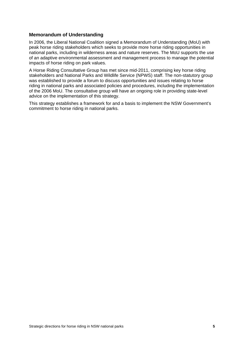#### **Memorandum of Understanding**

In 2006, the Liberal National Coalition signed a Memorandum of Understanding (MoU) with peak horse riding stakeholders which seeks to provide more horse riding opportunities in national parks, including in wilderness areas and nature reserves. The MoU supports the use of an adaptive environmental assessment and management process to manage the potential impacts of horse riding on park values.

A Horse Riding Consultative Group has met since mid-2011, comprising key horse riding stakeholders and National Parks and Wildlife Service (NPWS) staff. The non-statutory group was established to provide a forum to discuss opportunities and issues relating to horse riding in national parks and associated policies and procedures, including the implementation of the 2006 MoU. The consultative group will have an ongoing role in providing state-level advice on the implementation of this strategy.

This strategy establishes a framework for and a basis to implement the NSW Government's commitment to horse riding in national parks.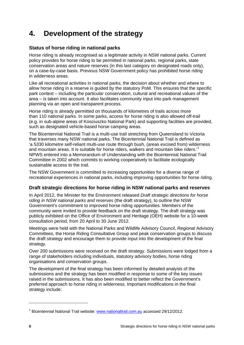# **4.** Development of the strategy

# **Status of horse riding in national parks**

Horse riding is already recognised as a legitimate activity in NSW national parks. Current policy provides for horse riding to be permitted in national parks, regional parks, state conservation areas and nature reserves (in this last category on designated roads only), on a case-by-case basis. Previous NSW Government policy has prohibited horse riding in wilderness areas.

Like all recreational activities in national parks, the decision about whether and where to allow horse riding in a reserve is guided by the statutory PoM. This ensures that the specific park context – including the particular conservation, cultural and recreational values of the area – is taken into account. It also facilitates community input into park management planning via an open and transparent process.

Horse riding is already permitted on thousands of kilometres of trails across more than 110 national parks. In some parks, access for horse riding is also allowed off-trail (e.g. in sub-alpine areas of Kosciuszko National Park) and supporting facilities are provided, such as designated vehicle-based horse camping areas.

The Bicentennial National Trail is a multi-use trail stretching from Queensland to Victoria that traverses many NSW national parks. The Bicentennial National Trail is defined as 'a 5330 kilometre self-reliant multi-use route through bush, (areas excised from) wilderness and mountain areas. It is suitable for horse riders, walkers and mountain bike riders.'<sup>1</sup> NPWS entered into a Memorandum of Understanding with the Bicentennial National Trail Committee in 2002 which commits to working cooperatively to facilitate ecologically sustainable access to the trail.

The NSW Government is committed to increasing opportunities for a diverse range of recreational experiences in national parks, including improving opportunities for horse riding.

# 17B**Draft strategic directions for horse riding in NSW national parks and reserves**

In April 2012, the Minister for the Environment released *Draft strategic directions for horse riding in NSW national parks and reserves* (the draft strategy), to outline the NSW Government's commitment to improved horse riding opportunities. Members of the community were invited to provide feedback on the draft strategy. The draft strategy was publicly exhibited on the Office of Environment and Heritage (OEH) website for a 10-week consultation period, from 20 April to 30 June 2012.

Meetings were held with the National Parks and Wildlife Advisory Council, Regional Advisory Committees, the Horse Riding Consultative Group and peak conservation groups to discuss the draft strategy and encourage them to provide input into the development of the final strategy.

Over 200 submissions were received on the draft strategy. Submissions were lodged from a range of stakeholders including individuals, statutory advisory bodies, horse riding organisations and conservation groups.

The development of the final strategy has been informed by detailed analysis of the submissions and the strategy has been modified in response to some of the key issues raised in the submissions. It has also been modified to better reflect the Government's preferred approach to horse riding in wilderness. Important modifications in the final strategy include:

-

<sup>&</sup>lt;sup>1</sup> Bicentennial National Trail website: www.nationaltrail.com.au accessed 29/12/2012.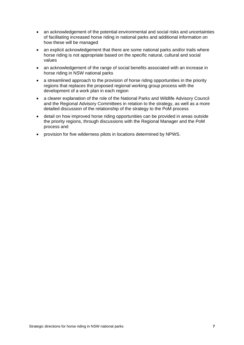- an acknowledgement of the potential environmental and social risks and uncertainties of facilitating increased horse riding in national parks and additional information on how these will be managed
- an explicit acknowledgement that there are some national parks and/or trails where horse riding is not appropriate based on the specific natural, cultural and social values
- an acknowledgement of the range of social benefits associated with an increase in horse riding in NSW national parks
- a streamlined approach to the provision of horse riding opportunities in the priority regions that replaces the proposed regional working group process with the development of a work plan in each region
- a clearer explanation of the role of the National Parks and Wildlife Advisory Council and the Regional Advisory Committees in relation to the strategy, as well as a more detailed discussion of the relationship of the strategy to the PoM process
- detail on how improved horse riding opportunities can be provided in areas outside the priority regions, through discussions with the Regional Manager and the PoM process and
- provision for five wilderness pilots in locations determined by NPWS.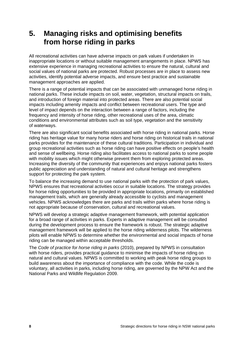# **5.** Managing risks and optimising benefits **from horse riding in parks**

All recreational activities can have adverse impacts on park values if undertaken in inappropriate locations or without suitable management arrangements in place. NPWS has extensive experience in managing recreational activities to ensure the natural, cultural and social values of national parks are protected. Robust processes are in place to assess new activities, identify potential adverse impacts, and ensure best practice and sustainable management approaches are applied.

There is a range of potential impacts that can be associated with unmanaged horse riding in national parks. These include impacts on soil, water, vegetation, structural impacts on trails, and introduction of foreign material into protected areas. There are also potential social impacts including amenity impacts and conflict between recreational users. The type and level of impact depends on the interaction between a range of factors, including the frequency and intensity of horse riding, other recreational uses of the area, climatic conditions and environmental attributes such as soil type, vegetation and the sensitivity of waterways.

There are also significant social benefits associated with horse riding in national parks. Horse riding has heritage value for many horse riders and horse riding on historical trails in national parks provides for the maintenance of these cultural traditions. Participation in individual and group recreational activities such as horse riding can have positive effects on people's health and sense of wellbeing. Horse riding also facilitates access to national parks to some people with mobility issues which might otherwise prevent them from exploring protected areas. Increasing the diversity of the community that experiences and enjoys national parks fosters public appreciation and understanding of natural and cultural heritage and strengthens support for protecting the park system.

To balance the increasing demand to use national parks with the protection of park values, NPWS ensures that recreational activities occur in suitable locations. The strategy provides for horse riding opportunities to be provided in appropriate locations, primarily on established management trails, which are generally already accessible to cyclists and management vehicles. NPWS acknowledges there are parks and trails within parks where horse riding is not appropriate because of conservation, cultural and recreational values.

NPWS will develop a strategic adaptive management framework, with potential application for a broad range of activities in parks. Experts in adaptive management will be consulted during the development process to ensure the framework is robust. The strategic adaptive management framework will be applied to the horse riding wilderness pilots. The wilderness pilots will enable NPWS to determine whether the environmental and social impacts of horse riding can be managed within acceptable thresholds.

The *Code of practice for horse riding in parks* (2010), prepared by NPWS in consultation with horse riders, provides practical guidance to minimise the impacts of horse riding on natural and cultural values. NPWS is committed to working with peak horse riding groups to build awareness about the importance of compliance with the code. While the code is voluntary, all activities in parks, including horse riding, are governed by the NPW Act and the National Parks and Wildlife Regulation 2009.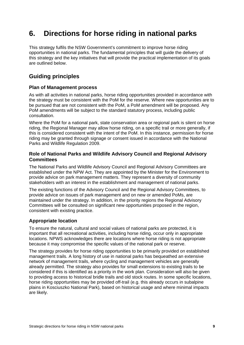# **6.** Directions for horse riding in national parks

This strategy fulfils the NSW Government's commitment to improve horse riding opportunities in national parks. The fundamental principles that will guide the delivery of this strategy and the key initiatives that will provide the practical implementation of its goals are outlined below.

# 10B**Guiding principles**

### 18B**Plan of Management process**

As with all activities in national parks, horse riding opportunities provided in accordance with the strategy must be consistent with the PoM for the reserve. Where new opportunities are to be pursued that are not consistent with the PoM, a PoM amendment will be proposed. Any PoM amendments will be subject to the standard statutory process, including public consultation.

Where the PoM for a national park, state conservation area or regional park is silent on horse riding, the Regional Manager may allow horse riding, on a specific trail or more generally, if this is considered consistent with the intent of the PoM. In this instance, permission for horse riding may be granted through signage or consent issued in accordance with the National Parks and Wildlife Regulation 2009.

### 19B**Role of National Parks and Wildlife Advisory Council and Regional Advisory Committees**

The National Parks and Wildlife Advisory Council and Regional Advisory Committees are established under the NPW Act. They are appointed by the Minister for the Environment to provide advice on park management matters. They represent a diversity of community stakeholders with an interest in the establishment and management of national parks.

The existing functions of the Advisory Council and the Regional Advisory Committees, to provide advice on issues of park management and on new or amended PoMs, are maintained under the strategy. In addition, in the priority regions the Regional Advisory Committees will be consulted on significant new opportunities proposed in the region, consistent with existing practice.

### **Appropriate location**

To ensure the natural, cultural and social values of national parks are protected, it is important that all recreational activities, including horse riding, occur only in appropriate locations. NPWS acknowledges there are locations where horse riding is not appropriate because it may compromise the specific values of the national park or reserve.

The strategy provides for horse riding opportunities to be primarily provided on established management trails. A long history of use in national parks has bequeathed an extensive network of management trails, where cycling and management vehicles are generally already permitted. The strategy also provides for small extensions to existing trails to be considered if this is identified as a priority in the work plan. Consideration will also be given to providing access to historical bridle trails and old stock routes. In some specific locations, horse riding opportunities may be provided off-trail (e.g. this already occurs in subalpine plains in Kosciuszko National Park), based on historical usage and where minimal impacts are likely.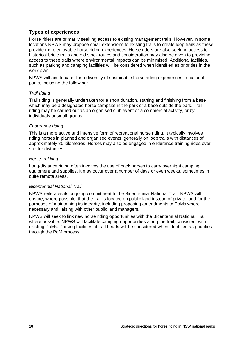### 21B**Types of experiences**

Horse riders are primarily seeking access to existing management trails. However, in some locations NPWS may propose small extensions to existing trails to create loop trails as these provide more enjoyable horse riding experiences. Horse riders are also seeking access to historical bridle trails and old stock routes and consideration may also be given to providing access to these trails where environmental impacts can be minimised. Additional facilities, such as parking and camping facilities will be considered when identified as priorities in the work plan.

NPWS will aim to cater for a diversity of sustainable horse riding experiences in national parks, including the following:

#### *Trail riding*

Trail riding is generally undertaken for a short duration, starting and finishing from a base which may be a designated horse campsite in the park or a base outside the park. Trail riding may be carried out as an organised club event or a commercial activity, or by individuals or small groups.

#### *Endurance riding*

This is a more active and intensive form of recreational horse riding. It typically involves riding horses in planned and organised events, generally on loop trails with distances of approximately 80 kilometres. Horses may also be engaged in endurance training rides over shorter distances.

#### *Horse trekking*

Long-distance riding often involves the use of pack horses to carry overnight camping equipment and supplies. It may occur over a number of days or even weeks, sometimes in quite remote areas.

#### *Bicentennial National Trail*

NPWS reiterates its ongoing commitment to the Bicentennial National Trail. NPWS will ensure, where possible, that the trail is located on public land instead of private land for the purposes of maintaining its integrity, including proposing amendments to PoMs where necessary and liaising with other public land managers.

NPWS will seek to link new horse riding opportunities with the Bicentennial National Trail where possible. NPWS will facilitate camping opportunities along the trail, consistent with existing PoMs. Parking facilities at trail heads will be considered when identified as priorities through the PoM process.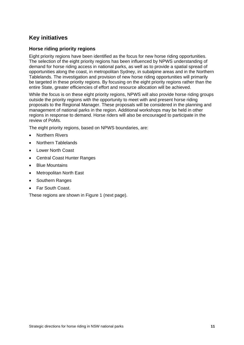# **Key initiatives**

### 2B**Horse riding priority regions**

Eight priority regions have been identified as the focus for new horse riding opportunities. The selection of the eight priority regions has been influenced by NPWS understanding of demand for horse riding access in national parks, as well as to provide a spatial spread of opportunities along the coast, in metropolitan Sydney, in subalpine areas and in the Northern Tablelands. The investigation and provision of new horse riding opportunities will primarily be targeted in these priority regions. By focusing on the eight priority regions rather than the entire State, greater efficiencies of effort and resource allocation will be achieved.

While the focus is on these eight priority regions, NPWS will also provide horse riding groups outside the priority regions with the opportunity to meet with and present horse riding proposals to the Regional Manager. These proposals will be considered in the planning and management of national parks in the region. Additional workshops may be held in other regions in response to demand. Horse riders will also be encouraged to participate in the review of PoMs.

The eight priority regions, based on NPWS boundaries, are:

- **•** Northern Rivers
- Northern Tablelands
- Lower North Coast
- Central Coast Hunter Ranges
- Blue Mountains
- Metropolitan North East
- Southern Ranges
- Far South Coast.

These regions are shown in Figure 1 (next page).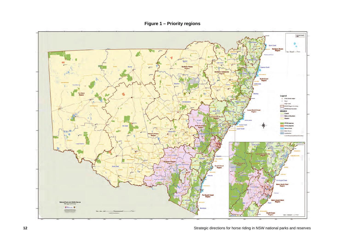**Figure 1 – Priority regions** 

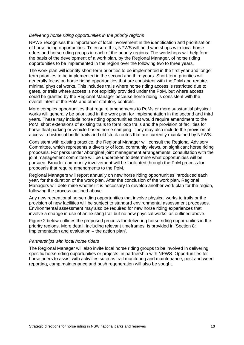#### 31B*Delivering horse riding opportunities in the priority regions*

NPWS recognises the importance of local involvement in the identification and prioritisation of horse riding opportunities. To ensure this, NPWS will hold workshops with local horse riders and horse riding groups in each of the priority regions. The workshops will help form the basis of the development of a work plan, by the Regional Manager, of horse riding opportunities to be implemented in the region over the following two to three years.

The work plan will identify short-term priorities to be implemented in the first year and longer term priorities to be implemented in the second and third years. Short-term priorities will generally focus on horse riding opportunities that are consistent with the PoM and require minimal physical works. This includes trails where horse riding access is restricted due to gates, or trails where access is not explicitly provided under the PoM, but where access could be granted by the Regional Manager because horse riding is consistent with the overall intent of the PoM and other statutory controls.

More complex opportunities that require amendments to PoMs or more substantial physical works will generally be prioritised in the work plan for implementation in the second and third years. These may include horse riding opportunities that would require amendment to the PoM, short extensions of existing trails to form loop trails and the provision of facilities for horse float parking or vehicle-based horse camping. They may also include the provision of access to historical bridle trails and old stock routes that are currently maintained by NPWS.

Consistent with existing practice, the Regional Manager will consult the Regional Advisory Committee, which represents a diversity of local community views, on significant horse riding proposals. For parks under Aboriginal joint management arrangements, consultation with the joint management committee will be undertaken to determine what opportunities will be pursued. Broader community involvement will be facilitated through the PoM process for proposals that require amendments to the PoM.

Regional Managers will report annually on new horse riding opportunities introduced each year, for the duration of the work plan. After the conclusion of the work plan, Regional Managers will determine whether it is necessary to develop another work plan for the region, following the process outlined above.

Any new recreational horse riding opportunities that involve physical works to trails or the provision of new facilities will be subject to standard environmental assessment processes. Environmental assessment may also be required for new horse riding experiences that involve a change in use of an existing trail but no new physical works, as outlined above.

Figure 2 below outlines the proposed process for delivering horse riding opportunities in the priority regions. More detail, including relevant timeframes, is provided in 'Section 8: Implementation and evaluation – the action plan'.

#### 32B*Partnerships with local horse riders*

The Regional Manager will also invite local horse riding groups to be involved in delivering specific horse riding opportunities or projects, in partnership with NPWS. Opportunities for horse riders to assist with activities such as trail monitoring and maintenance, pest and weed reporting, camp maintenance and bush regeneration will also be sought.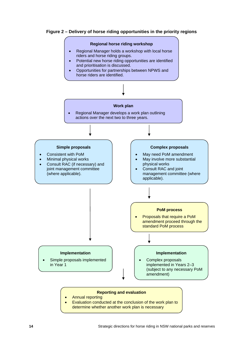



 Evaluation conducted at the conclusion of the work plan to determine whether another work plan is necessary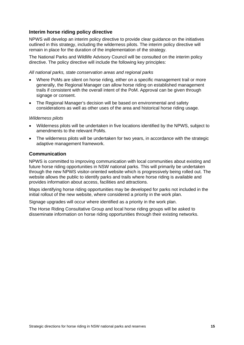### 23B**Interim horse riding policy directive**

NPWS will develop an interim policy directive to provide clear guidance on the initiatives outlined in this strategy, including the wilderness pilots. The interim policy directive will remain in place for the duration of the implementation of the strategy.

The National Parks and Wildlife Advisory Council will be consulted on the interim policy directive. The policy directive will include the following key principles:

3B*All national parks, state conservation areas and regional parks* 

- Where PoMs are silent on horse riding, either on a specific management trail or more generally, the Regional Manager can allow horse riding on established management trails if consistent with the overall intent of the PoM. Approval can be given through signage or consent.
- The Regional Manager's decision will be based on environmental and safety considerations as well as other uses of the area and historical horse riding usage.

#### 34B*Wilderness pilots*

- Wilderness pilots will be undertaken in five locations identified by the NPWS, subject to amendments to the relevant PoMs.
- The wilderness pilots will be undertaken for two years, in accordance with the strategic adaptive management framework.

#### **Communication**

NPWS is committed to improving communication with local communities about existing and future horse riding opportunities in NSW national parks. This will primarily be undertaken through the new NPWS visitor-oriented website which is progressively being rolled out. The website allows the public to identify parks and trails where horse riding is available and provides information about access, facilities and attractions.

Maps identifying horse riding opportunities may be developed for parks not included in the initial rollout of the new website, where considered a priority in the work plan.

Signage upgrades will occur where identified as a priority in the work plan.

The Horse Riding Consultative Group and local horse riding groups will be asked to disseminate information on horse riding opportunities through their existing networks.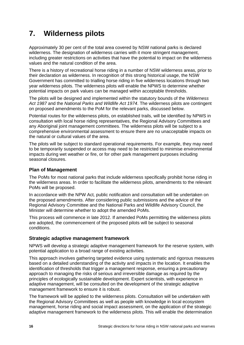# **7.** 8B**Wilderness pilots**

Approximately 30 per cent of the total area covered by NSW national parks is declared wilderness. The designation of wilderness carries with it more stringent management, including greater restrictions on activities that have the potential to impact on the wilderness values and the natural condition of the area.

There is a history of recreational horse riding in a number of NSW wilderness areas, prior to their declaration as wilderness. In recognition of this strong historical usage, the NSW Government has committed to trialling horse riding in five wilderness locations through two year wilderness pilots. The wilderness pilots will enable the NPWS to determine whether potential impacts on park values can be managed within acceptable thresholds.

The pilots will be designed and implemented within the statutory bounds of the *Wilderness Act 1987* and the *National Parks and Wildlife Act 1974*. The wilderness pilots are contingent on proposed amendments to the PoM for the relevant parks, discussed below.

Potential routes for the wilderness pilots, on established trails, will be identified by NPWS in consultation with local horse riding representatives, the Regional Advisory Committees and any Aboriginal joint management committees. The wilderness pilots will be subject to a comprehensive environmental assessment to ensure there are no unacceptable impacts on the natural or cultural values of the area.

The pilots will be subject to standard operational requirements. For example, they may need to be temporarily suspended or access may need to be restricted to minimise environmental impacts during wet weather or fire, or for other park management purposes including seasonal closures.

### **Plan of Management**

The PoMs for most national parks that include wilderness specifically prohibit horse riding in the wilderness areas. In order to facilitate the wilderness pilots, amendments to the relevant PoMs will be proposed.

In accordance with the NPW Act*,* public notification and consultation will be undertaken on the proposed amendments. After considering public submissions and the advice of the Regional Advisory Committee and the National Parks and Wildlife Advisory Council, the Minister will determine whether to adopt the amended PoMs.

This process will commence in late 2012. If amended PoMs permitting the wilderness pilots are adopted, the commencement of the proposed pilots will be subject to seasonal conditions.

### **Strategic adaptive management framework**

NPWS will develop a strategic adaptive management framework for the reserve system, with potential application to a broad range of existing activities.

This approach involves gathering targeted evidence using systematic and rigorous measures based on a detailed understanding of the activity and impacts in the location. It enables the identification of thresholds that trigger a management response, ensuring a precautionary approach to managing the risks of serious and irreversible damage as required by the principles of ecologically sustainable development. Expert scientists, with experience in adaptive management, will be consulted on the development of the strategic adaptive management framework to ensure it is robust.

The framework will be applied to the wilderness pilots. Consultation will be undertaken with the Regional Advisory Committees as well as people with knowledge in local ecosystem management, horse riding and social impact assessment, on the application of the strategic adaptive management framework to the wilderness pilots. This will enable the determination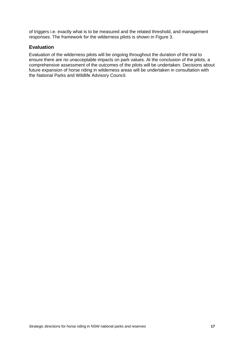of triggers i.e. exactly what is to be measured and the related threshold, and management responses. The framework for the wilderness pilots is shown in Figure 3.

### **Evaluation**

Evaluation of the wilderness pilots will be ongoing throughout the duration of the trial to ensure there are no unacceptable impacts on park values. At the conclusion of the pilots, a comprehensive assessment of the outcomes of the pilots will be undertaken. Decisions about future expansion of horse riding in wilderness areas will be undertaken in consultation with the National Parks and Wildlife Advisory Council.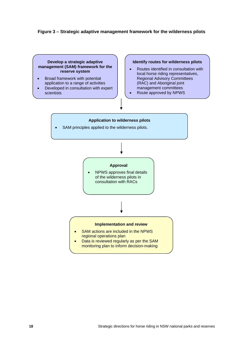#### **Figure 3 – Strategic adaptive management framework for the wilderness pilots**

#### **Develop a strategic adaptive management (SAM) framework for the reserve system**

- Broad framework with potential application to a range of activities
- Developed in consultation with expert scientists

#### **Identify routes for wilderness pilots**

- Routes identified in consultation with local horse riding representatives, Regional Advisory Committees (RAC) and Aboriginal joint management committees
- Route approved by NPWS

# **Application to wilderness pilots**  SAM principles applied to the wilderness pilots. **Approval**  NPWS approves final details of the wilderness pilots in consultation with RACs **Implementation and review**  SAM actions are included in the NPWS regional operations plan Data is reviewed regularly as per the SAM monitoring plan to inform decision-making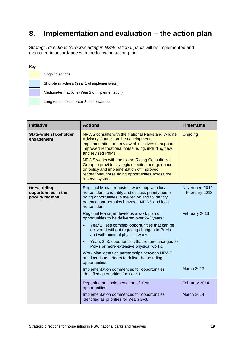# 8. Implementation and evaluation – the action plan

S*trategic directions for horse riding in NSW national parks* will be implemented and evaluated in accordance with the following action plan.

#### **Key**

Ongoing actions Short-term actions (Year 1 of implementation) Medium-term actions (Year 2 of implementation) Long-term actions (Year 3 and onwards)

| <b>Initiative</b>                                               | <b>Actions</b>                                                                                                                                                                                                                                                                                                                                                                                                                                         | <b>Timeframe</b>                 |
|-----------------------------------------------------------------|--------------------------------------------------------------------------------------------------------------------------------------------------------------------------------------------------------------------------------------------------------------------------------------------------------------------------------------------------------------------------------------------------------------------------------------------------------|----------------------------------|
| State-wide stakeholder<br>engagement                            | NPWS consults with the National Parks and Wildlife<br>Advisory Council on the development,<br>implementation and review of initiatives to support<br>improved recreational horse riding, including new<br>and revised PoMs.<br>NPWS works with the Horse Riding Consultative<br>Group to provide strategic direction and guidance<br>on policy and implementation of improved<br>recreational horse riding opportunities across the<br>reserve system. | Ongoing                          |
| <b>Horse riding</b><br>opportunities in the<br>priority regions | Regional Manager hosts a workshop with local<br>horse riders to identify and discuss priority horse<br>riding opportunities in the region and to identify<br>potential partnerships between NPWS and local<br>horse riders.                                                                                                                                                                                                                            | November 2012<br>- February 2013 |
|                                                                 | Regional Manager develops a work plan of<br>opportunities to be delivered over 2-3 years:                                                                                                                                                                                                                                                                                                                                                              | February 2013                    |
|                                                                 | Year 1: less complex opportunities that can be<br>$\bullet$<br>delivered without requiring changes to PoMs<br>and with minimal physical works.                                                                                                                                                                                                                                                                                                         |                                  |
|                                                                 | Years 2-3: opportunities that require changes to<br>$\bullet$<br>PoMs or more extensive physical works.                                                                                                                                                                                                                                                                                                                                                |                                  |
|                                                                 | Work plan identifies partnerships between NPWS<br>and local horse riders to deliver horse riding<br>opportunities.                                                                                                                                                                                                                                                                                                                                     |                                  |
|                                                                 | Implementation commences for opportunities<br>identified as priorities for Year 1.                                                                                                                                                                                                                                                                                                                                                                     | March 2013                       |
|                                                                 | Reporting on implementation of Year 1<br>opportunities.                                                                                                                                                                                                                                                                                                                                                                                                | February 2014                    |
|                                                                 | Implementation commences for opportunities<br>identified as priorities for Years 2-3.                                                                                                                                                                                                                                                                                                                                                                  | March 2014                       |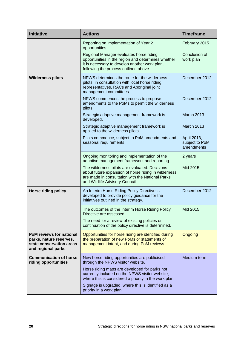| <b>Initiative</b>                                                                                            | <b>Actions</b>                                                                                                                                                                               | <b>Timeframe</b>                            |
|--------------------------------------------------------------------------------------------------------------|----------------------------------------------------------------------------------------------------------------------------------------------------------------------------------------------|---------------------------------------------|
|                                                                                                              | Reporting on implementation of Year 2<br>opportunities.                                                                                                                                      | February 2015                               |
|                                                                                                              | Regional Manager evaluates horse riding<br>opportunities in the region and determines whether<br>it is necessary to develop another work plan,<br>following the process outlined above.      | Conclusion of<br>work plan                  |
| <b>Wilderness pilots</b>                                                                                     | NPWS determines the route for the wilderness<br>pilots, in consultation with local horse riding<br>representatives, RACs and Aboriginal joint<br>management committees.                      | December 2012                               |
|                                                                                                              | NPWS commences the process to propose<br>amendments to the PoMs to permit the wilderness<br>pilots.                                                                                          | December 2012                               |
|                                                                                                              | Strategic adaptive management framework is<br>developed.                                                                                                                                     | <b>March 2013</b>                           |
|                                                                                                              | Strategic adaptive management framework is<br>applied to the wilderness pilots.                                                                                                              | <b>March 2013</b>                           |
|                                                                                                              | Pilots commence, subject to PoM amendments and<br>seasonal requirements.                                                                                                                     | April 2013,<br>subject to PoM<br>amendments |
|                                                                                                              | Ongoing monitoring and implementation of the<br>adaptive management framework and reporting.                                                                                                 | 2 years                                     |
|                                                                                                              | The wilderness pilots are evaluated. Decisions<br>about future expansion of horse riding in wilderness<br>are made in consultation with the National Parks<br>and Wildlife Advisory Council. | Mid 2015                                    |
| <b>Horse riding policy</b>                                                                                   | An Interim Horse Riding Policy Directive is<br>developed to provide policy guidance for the<br>initiatives outlined in the strategy.                                                         | December 2012                               |
|                                                                                                              | The outcomes of the Interim Horse Riding Policy<br>Directive are assessed.                                                                                                                   | Mid 2015                                    |
|                                                                                                              | The need for a review of existing policies or<br>continuation of the policy directive is determined.                                                                                         |                                             |
| <b>PoM reviews for national</b><br>parks, nature reserves,<br>state conservation areas<br>and regional parks | Opportunities for horse riding are identified during<br>the preparation of new PoMs or statements of<br>management intent, and during PoM reviews.                                           | Ongoing                                     |
| <b>Communication of horse</b><br>riding opportunities                                                        | New horse riding opportunities are publicised<br>through the NPWS visitor website.                                                                                                           | Medium term                                 |
|                                                                                                              | Horse riding maps are developed for parks not<br>currently included on the NPWS visitor website,<br>where this is considered a priority in the work plan.                                    |                                             |
|                                                                                                              | Signage is upgraded, where this is identified as a<br>priority in a work plan.                                                                                                               |                                             |